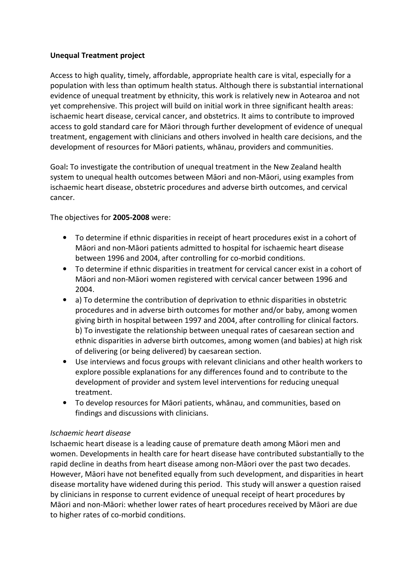## Unequal Treatment project

Access to high quality, timely, affordable, appropriate health care is vital, especially for a population with less than optimum health status. Although there is substantial international evidence of unequal treatment by ethnicity, this work is relatively new in Aotearoa and not yet comprehensive. This project will build on initial work in three significant health areas: ischaemic heart disease, cervical cancer, and obstetrics. It aims to contribute to improved access to gold standard care for Māori through further development of evidence of unequal treatment, engagement with clinicians and others involved in health care decisions, and the development of resources for Māori patients, whānau, providers and communities.

Goal: To investigate the contribution of unequal treatment in the New Zealand health system to unequal health outcomes between Māori and non-Māori, using examples from ischaemic heart disease, obstetric procedures and adverse birth outcomes, and cervical cancer.

The objectives for 2005-2008 were:

- To determine if ethnic disparities in receipt of heart procedures exist in a cohort of Māori and non-Māori patients admitted to hospital for ischaemic heart disease between 1996 and 2004, after controlling for co-morbid conditions.
- To determine if ethnic disparities in treatment for cervical cancer exist in a cohort of Māori and non-Māori women registered with cervical cancer between 1996 and 2004.
- a) To determine the contribution of deprivation to ethnic disparities in obstetric procedures and in adverse birth outcomes for mother and/or baby, among women giving birth in hospital between 1997 and 2004, after controlling for clinical factors. b) To investigate the relationship between unequal rates of caesarean section and ethnic disparities in adverse birth outcomes, among women (and babies) at high risk of delivering (or being delivered) by caesarean section.
- Use interviews and focus groups with relevant clinicians and other health workers to explore possible explanations for any differences found and to contribute to the development of provider and system level interventions for reducing unequal treatment.
- To develop resources for Māori patients, whānau, and communities, based on findings and discussions with clinicians.

## Ischaemic heart disease

Ischaemic heart disease is a leading cause of premature death among Māori men and women. Developments in health care for heart disease have contributed substantially to the rapid decline in deaths from heart disease among non-Māori over the past two decades. However, Māori have not benefited equally from such development, and disparities in heart disease mortality have widened during this period. This study will answer a question raised by clinicians in response to current evidence of unequal receipt of heart procedures by Māori and non-Māori: whether lower rates of heart procedures received by Māori are due to higher rates of co-morbid conditions.